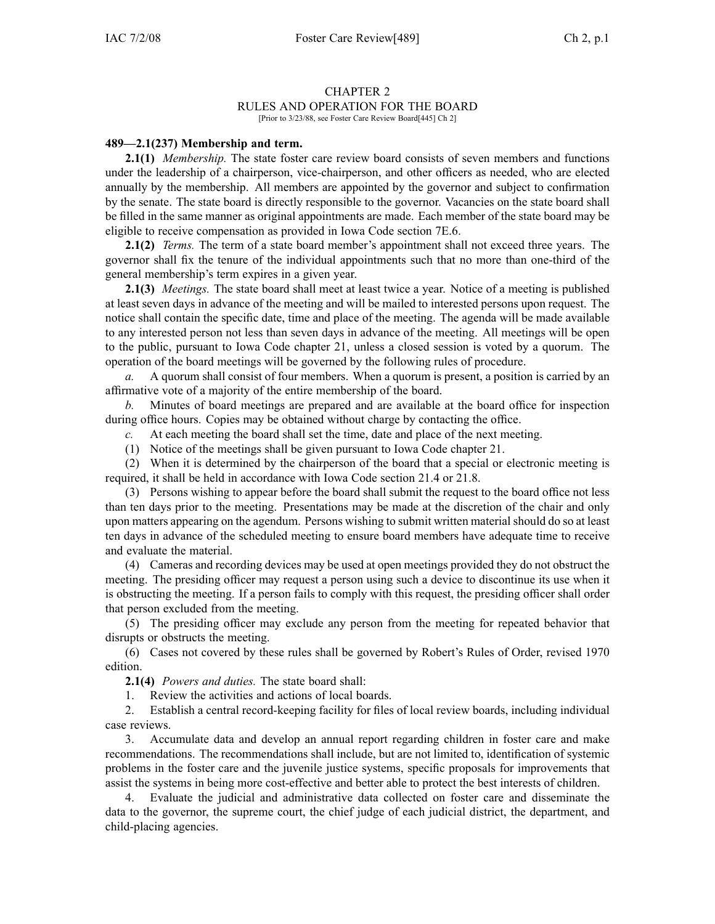## CHAPTER 2 RULES AND OPERATION FOR THE BOARD

[Prior to 3/23/88, see Foster Care Review Board[445] Ch 2]

## **489—2.1(237) Membership and term.**

**2.1(1)** *Membership.* The state foster care review board consists of seven members and functions under the leadership of <sup>a</sup> chairperson, vice-chairperson, and other officers as needed, who are elected annually by the membership. All members are appointed by the governor and subject to confirmation by the senate. The state board is directly responsible to the governor. Vacancies on the state board shall be filled in the same manner as original appointments are made. Each member of the state board may be eligible to receive compensation as provided in Iowa Code section 7E.6.

**2.1(2)** *Terms.* The term of <sup>a</sup> state board member's appointment shall not exceed three years. The governor shall fix the tenure of the individual appointments such that no more than one-third of the general membership's term expires in <sup>a</sup> given year.

**2.1(3)** *Meetings.* The state board shall meet at least twice <sup>a</sup> year. Notice of <sup>a</sup> meeting is published at least seven days in advance of the meeting and will be mailed to interested persons upon request. The notice shall contain the specific date, time and place of the meeting. The agenda will be made available to any interested person not less than seven days in advance of the meeting. All meetings will be open to the public, pursuan<sup>t</sup> to Iowa Code chapter 21, unless <sup>a</sup> closed session is voted by <sup>a</sup> quorum. The operation of the board meetings will be governed by the following rules of procedure.

*a.* A quorum shall consist of four members. When <sup>a</sup> quorum is present, <sup>a</sup> position is carried by an affirmative vote of <sup>a</sup> majority of the entire membership of the board.

*b.* Minutes of board meetings are prepared and are available at the board office for inspection during office hours. Copies may be obtained without charge by contacting the office.

*c.* At each meeting the board shall set the time, date and place of the next meeting.

(1) Notice of the meetings shall be given pursuan<sup>t</sup> to Iowa Code chapter 21.

(2) When it is determined by the chairperson of the board that <sup>a</sup> special or electronic meeting is required, it shall be held in accordance with Iowa Code section 21.4 or 21.8.

(3) Persons wishing to appear before the board shall submit the reques<sup>t</sup> to the board office not less than ten days prior to the meeting. Presentations may be made at the discretion of the chair and only upon matters appearing on the agendum. Persons wishing to submit written material should do so at least ten days in advance of the scheduled meeting to ensure board members have adequate time to receive and evaluate the material.

(4) Cameras and recording devices may be used at open meetings provided they do not obstruct the meeting. The presiding officer may reques<sup>t</sup> <sup>a</sup> person using such <sup>a</sup> device to discontinue its use when it is obstructing the meeting. If <sup>a</sup> person fails to comply with this request, the presiding officer shall order that person excluded from the meeting.

(5) The presiding officer may exclude any person from the meeting for repeated behavior that disrupts or obstructs the meeting.

(6) Cases not covered by these rules shall be governed by Robert's Rules of Order, revised 1970 edition.

**2.1(4)** *Powers and duties.* The state board shall:

1. Review the activities and actions of local boards.

2. Establish <sup>a</sup> central record-keeping facility for files of local review boards, including individual case reviews.

3. Accumulate data and develop an annual repor<sup>t</sup> regarding children in foster care and make recommendations. The recommendations shall include, but are not limited to, identification of systemic problems in the foster care and the juvenile justice systems, specific proposals for improvements that assist the systems in being more cost-effective and better able to protect the best interests of children.

4. Evaluate the judicial and administrative data collected on foster care and disseminate the data to the governor, the supreme court, the chief judge of each judicial district, the department, and child-placing agencies.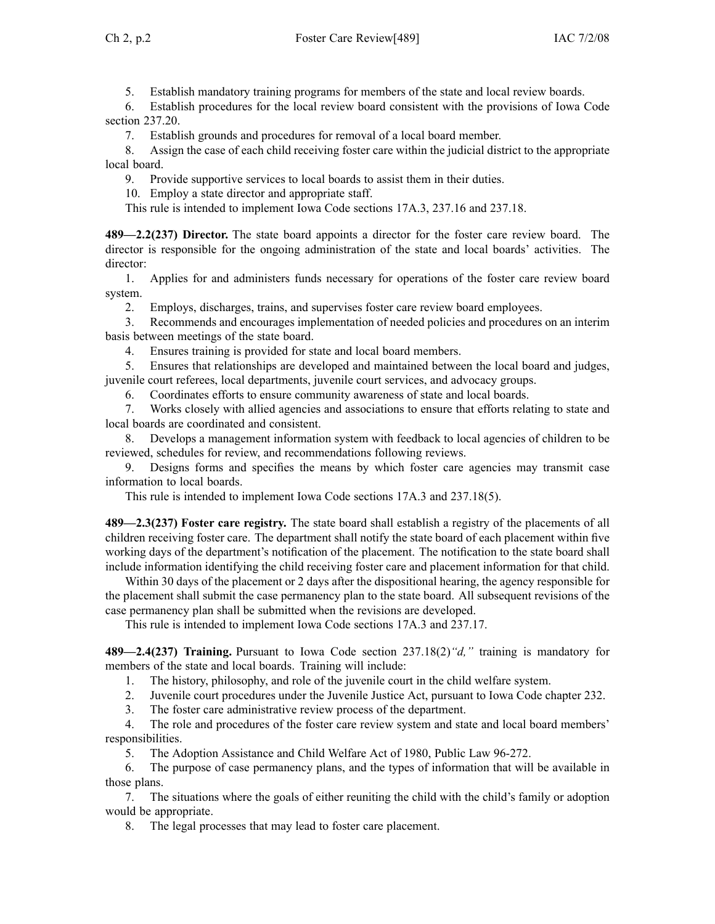5. Establish mandatory training programs for members of the state and local review boards.

6. Establish procedures for the local review board consistent with the provisions of Iowa Code section 237.20.

7. Establish grounds and procedures for removal of <sup>a</sup> local board member.

8. Assign the case of each child receiving foster care within the judicial district to the appropriate local board.

9. Provide supportive services to local boards to assist them in their duties.

10. Employ <sup>a</sup> state director and appropriate staff.

This rule is intended to implement Iowa Code sections 17A.3, 237.16 and 237.18.

**489—2.2(237) Director.** The state board appoints <sup>a</sup> director for the foster care review board. The director is responsible for the ongoing administration of the state and local boards' activities. The director:

1. Applies for and administers funds necessary for operations of the foster care review board system.

2. Employs, discharges, trains, and supervises foster care review board employees.

3. Recommends and encourages implementation of needed policies and procedures on an interim basis between meetings of the state board.

4. Ensures training is provided for state and local board members.

5. Ensures that relationships are developed and maintained between the local board and judges, juvenile court referees, local departments, juvenile court services, and advocacy groups.

6. Coordinates efforts to ensure community awareness of state and local boards.

7. Works closely with allied agencies and associations to ensure that efforts relating to state and local boards are coordinated and consistent.

8. Develops <sup>a</sup> managemen<sup>t</sup> information system with feedback to local agencies of children to be reviewed, schedules for review, and recommendations following reviews.

9. Designs forms and specifies the means by which foster care agencies may transmit case information to local boards.

This rule is intended to implement Iowa Code sections 17A.3 and 237.18(5).

**489—2.3(237) Foster care registry.** The state board shall establish <sup>a</sup> registry of the placements of all children receiving foster care. The department shall notify the state board of each placement within five working days of the department's notification of the placement. The notification to the state board shall include information identifying the child receiving foster care and placement information for that child.

Within 30 days of the placement or 2 days after the dispositional hearing, the agency responsible for the placement shall submit the case permanency plan to the state board. All subsequent revisions of the case permanency plan shall be submitted when the revisions are developed.

This rule is intended to implement Iowa Code sections 17A.3 and 237.17.

**489—2.4(237) Training.** Pursuant to Iowa Code section 237.18(2)*"d,"* training is mandatory for members of the state and local boards. Training will include:

1. The history, philosophy, and role of the juvenile court in the child welfare system.

2. Juvenile court procedures under the Juvenile Justice Act, pursuan<sup>t</sup> to Iowa Code chapter 232.

3. The foster care administrative review process of the department.

4. The role and procedures of the foster care review system and state and local board members' responsibilities.

5. The Adoption Assistance and Child Welfare Act of 1980, Public Law 96-272.

6. The purpose of case permanency plans, and the types of information that will be available in those plans.

7. The situations where the goals of either reuniting the child with the child's family or adoption would be appropriate.

8. The legal processes that may lead to foster care placement.